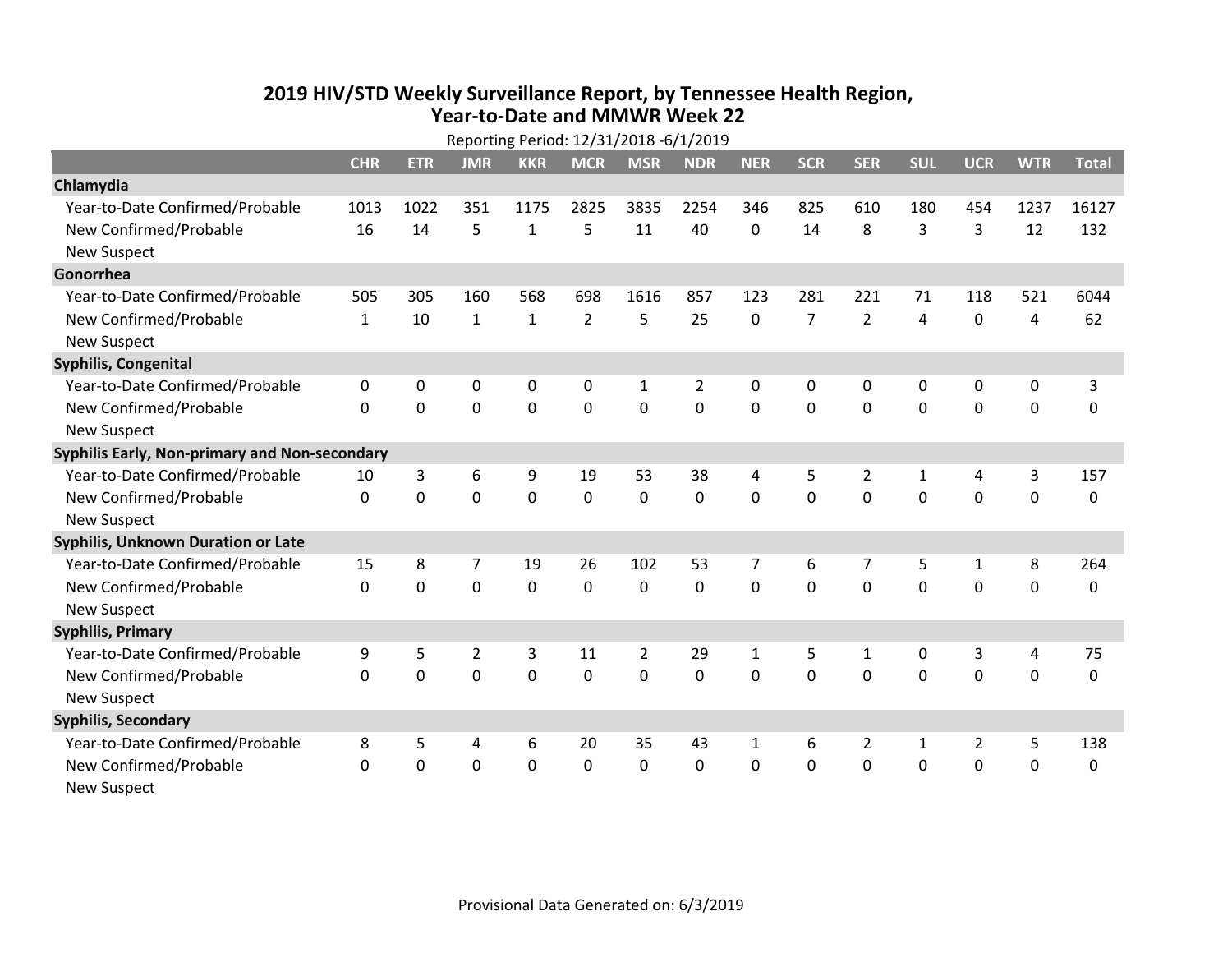## **2019 HIV /STD Weekly Surveillance Report, by Tennessee Health Region, Year‐to‐Date and MMWR Week 22**

| Reporting Period: 12/31/2018 -6/1/2019        |              |            |                |              |                |                |            |            |                |                |                |              |             |              |
|-----------------------------------------------|--------------|------------|----------------|--------------|----------------|----------------|------------|------------|----------------|----------------|----------------|--------------|-------------|--------------|
|                                               | <b>CHR</b>   | <b>ETR</b> | <b>JMR</b>     | <b>KKR</b>   | <b>MCR</b>     | <b>MSR</b>     | <b>NDR</b> | <b>NER</b> | <b>SCR</b>     | <b>SER</b>     | <b>SUL</b>     | <b>UCR</b>   | <b>WTR</b>  | <b>Total</b> |
| Chlamydia                                     |              |            |                |              |                |                |            |            |                |                |                |              |             |              |
| Year-to-Date Confirmed/Probable               | 1013         | 1022       | 351            | 1175         | 2825           | 3835           | 2254       | 346        | 825            | 610            | 180            | 454          | 1237        | 16127        |
| New Confirmed/Probable                        | 16           | 14         | 5              | $\mathbf{1}$ | 5              | 11             | 40         | $\Omega$   | 14             | 8              | 3              | 3            | 12          | 132          |
| <b>New Suspect</b>                            |              |            |                |              |                |                |            |            |                |                |                |              |             |              |
| Gonorrhea                                     |              |            |                |              |                |                |            |            |                |                |                |              |             |              |
| Year-to-Date Confirmed/Probable               | 505          | 305        | 160            | 568          | 698            | 1616           | 857        | 123        | 281            | 221            | 71             | 118          | 521         | 6044         |
| New Confirmed/Probable                        | $\mathbf{1}$ | 10         | $\mathbf{1}$   | $\mathbf{1}$ | $\overline{2}$ | 5              | 25         | $\Omega$   | $\overline{7}$ | $\overline{2}$ | 4              | 0            | 4           | 62           |
| <b>New Suspect</b>                            |              |            |                |              |                |                |            |            |                |                |                |              |             |              |
| <b>Syphilis, Congenital</b>                   |              |            |                |              |                |                |            |            |                |                |                |              |             |              |
| Year-to-Date Confirmed/Probable               | $\mathbf{0}$ | 0          | $\Omega$       | $\mathbf{0}$ | $\Omega$       | $\mathbf{1}$   | 2          | 0          | $\Omega$       | $\Omega$       | $\mathbf{0}$   | $\mathbf{0}$ | 0           | 3            |
| New Confirmed/Probable                        | $\Omega$     | 0          | 0              | 0            | 0              | $\mathbf 0$    | 0          | $\Omega$   | $\Omega$       | 0              | 0              | 0            | $\pmb{0}$   | 0            |
| <b>New Suspect</b>                            |              |            |                |              |                |                |            |            |                |                |                |              |             |              |
| Syphilis Early, Non-primary and Non-secondary |              |            |                |              |                |                |            |            |                |                |                |              |             |              |
| Year-to-Date Confirmed/Probable               | 10           | 3          | 6              | 9            | 19             | 53             | 38         | 4          | 5              | $\overline{2}$ | 1              | 4            | 3           | 157          |
| New Confirmed/Probable                        | 0            | 0          | 0              | $\mathbf 0$  | 0              | $\mathbf 0$    | 0          | $\Omega$   | $\Omega$       | $\Omega$       | $\overline{0}$ | $\mathbf 0$  | $\mathbf 0$ | 0            |
| <b>New Suspect</b>                            |              |            |                |              |                |                |            |            |                |                |                |              |             |              |
| Syphilis, Unknown Duration or Late            |              |            |                |              |                |                |            |            |                |                |                |              |             |              |
| Year-to-Date Confirmed/Probable               | 15           | 8          | 7              | 19           | 26             | 102            | 53         | 7          | 6              | 7              | 5              | $\mathbf{1}$ | 8           | 264          |
| New Confirmed/Probable                        | $\Omega$     | $\Omega$   | 0              | $\mathbf 0$  | $\mathbf 0$    | $\mathbf{0}$   | $\Omega$   | $\Omega$   | $\Omega$       | $\Omega$       | $\Omega$       | $\mathbf 0$  | 0           | 0            |
| <b>New Suspect</b>                            |              |            |                |              |                |                |            |            |                |                |                |              |             |              |
| <b>Syphilis, Primary</b>                      |              |            |                |              |                |                |            |            |                |                |                |              |             |              |
| Year-to-Date Confirmed/Probable               | 9            | 5          | $\overline{2}$ | 3            | 11             | $\overline{2}$ | 29         | 1          | 5              | 1              | 0              | 3            | 4           | 75           |
| New Confirmed/Probable                        | $\mathbf{0}$ | 0          | 0              | 0            | 0              | $\mathbf 0$    | 0          | $\Omega$   | $\Omega$       | 0              | 0              | $\mathbf 0$  | 0           | 0            |
| <b>New Suspect</b>                            |              |            |                |              |                |                |            |            |                |                |                |              |             |              |
| <b>Syphilis, Secondary</b>                    |              |            |                |              |                |                |            |            |                |                |                |              |             |              |
| Year-to-Date Confirmed/Probable               | 8            | 5          | 4              | 6            | 20             | 35             | 43         | 1          | 6              | 2              | 1              | 2            | 5           | 138          |
| New Confirmed/Probable                        | $\mathbf{0}$ | 0          | 0              | 0            | 0              | $\mathbf 0$    | 0          | $\Omega$   | $\Omega$       | $\mathbf 0$    | 0              | $\mathbf 0$  | $\mathbf 0$ | 0            |
| New Suspect                                   |              |            |                |              |                |                |            |            |                |                |                |              |             |              |